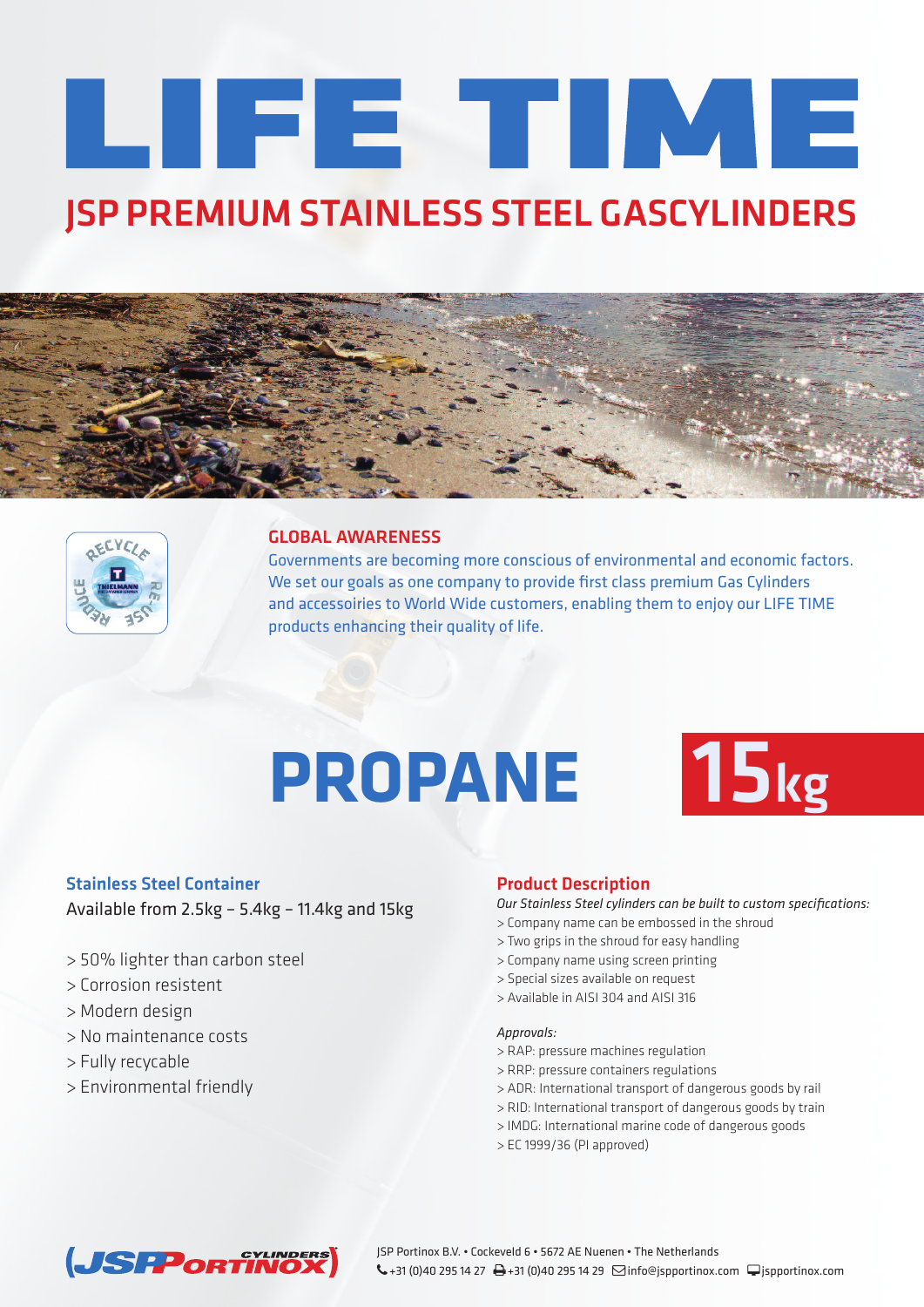# LIFE TIME **JSP PREMIUM STAINLESS STEEL GASCYLINDERS**





### **GLOBAL AWARENESS**

Governments are becoming more conscious of environmental and economic factors. We set our goals as one company to provide first class premium Gas Cylinders and accessoiries to World Wide customers, enabling them to enjoy our LIFE TIME products enhancing their quality of life.

## **PROPANE 15kg**



#### **Stainless Steel Container**

Available from 2.5kg – 5.4kg – 11.4kg and 15kg

- > 50% lighter than carbon steel
- > Corrosion resistent
- > Modern design
- > No maintenance costs
- > Fully recycable
- > Environmental friendly

#### **Product Description**

*Our Stainless Steel cylinders can be built to custom specifications:*

- > Company name can be embossed in the shroud
- > Two grips in the shroud for easy handling
- > Company name using screen printing
- > Special sizes available on request
- > Available in AISI 304 and AISI 316

#### *Approvals:*

- > RAP: pressure machines regulation
- > RRP: pressure containers regulations
- > ADR: International transport of dangerous goods by rail
- > RID: International transport of dangerous goods by train
- > IMDG: International marine code of dangerous goods
- > EC 1999/36 (PI approved)